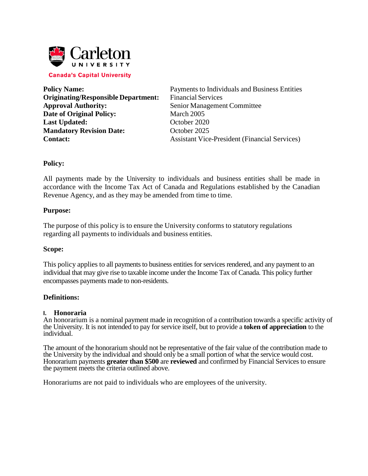

**Originating/Responsible Department:** Financial Services **Approval Authority:** Senior Management Committee **Date of Original Policy:** March 2005 Last **Updated:** October 2020 **Mandatory Revision Date:** October 2025

**Policy Name:** Payments to Individuals and Business Entities **Contact:** Assistant Vice-President (Financial Services)

### **Policy:**

All payments made by the University to individuals and business entities shall be made in accordance with the Income Tax Act of Canada and Regulations established by the Canadian Revenue Agency, and as they may be amended from time to time.

### **Purpose:**

The purpose of this policy is to ensure the University conforms to statutory regulations regarding all payments to individuals and business entities.

### **Scope:**

This policy applies to all payments to business entities for services rendered, and any payment to an individual that may give rise to taxable income under the Income Tax of Canada. This policy further encompasses payments made to non-residents.

### **Definitions:**

#### **I. Honoraria**

An honorarium is a nominal payment made in recognition of a contribution towards a specific activity of the University. It is not intended to pay for service itself, but to provide a **token of appreciation** to the individual.

The amount of the honorarium should not be representative of the fair value of the contribution made to the University by the individual and should only be a small portion of what the service would cost. Honorarium payments **greater than \$500** are **reviewed** and confirmed by Financial Services to ensure the payment meets the criteria outlined above.

Honorariums are not paid to individuals who are employees of the university.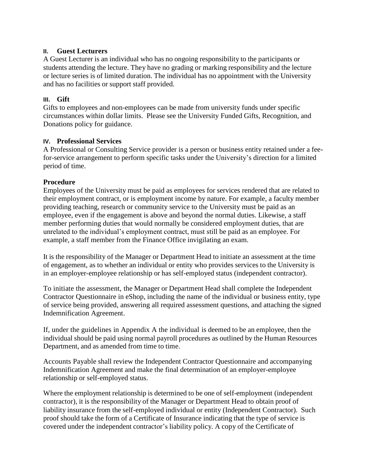# **II. Guest Lecturers**

A Guest Lecturer is an individual who has no ongoing responsibility to the participants or students attending the lecture. They have no grading or marking responsibility and the lecture or lecture series is of limited duration. The individual has no appointment with the University and has no facilities or support staff provided.

# **III. Gift**

Gifts to employees and non-employees can be made from university funds under specific circumstances within dollar limits. Please see the University Funded Gifts, Recognition, and Donations policy for guidance.

### **IV. Professional Services**

A Professional or Consulting Service provider is a person or business entity retained under a feefor-service arrangement to perform specific tasks under the University's direction for a limited period of time.

## **Procedure**

Employees of the University must be paid as employees for services rendered that are related to their employment contract, or is employment income by nature. For example, a faculty member providing teaching, research or community service to the University must be paid as an employee, even if the engagement is above and beyond the normal duties. Likewise, a staff member performing duties that would normally be considered employment duties, that are unrelated to the individual's employment contract, must still be paid as an employee. For example, a staff member from the Finance Office invigilating an exam.

It is the responsibility of the Manager or Department Head to initiate an assessment at the time of engagement, as to whether an individual or entity who provides services to the University is in an employer-employee relationship or has self-employed status (independent contractor).

To initiate the assessment, the Manager or Department Head shall complete the Independent Contractor Questionnaire in eShop, including the name of the individual or business entity, type of service being provided, answering all required assessment questions, and attaching the signed Indemnification Agreement.

If, under the guidelines in Appendix A the individual is deemed to be an employee, then the individual should be paid using normal payroll procedures as outlined by the Human Resources Department, and as amended from time to time.

Accounts Payable shall review the Independent Contractor Questionnaire and accompanying Indemnification Agreement and make the final determination of an employer-employee relationship or self-employed status.

Where the employment relationship is determined to be one of self-employment (independent contractor), it is the responsibility of the Manager or Department Head to obtain proof of liability insurance from the self-employed individual or entity (Independent Contractor). Such proof should take the form of a Certificate of Insurance indicating that the type of service is covered under the independent contractor's liability policy. A copy of the Certificate of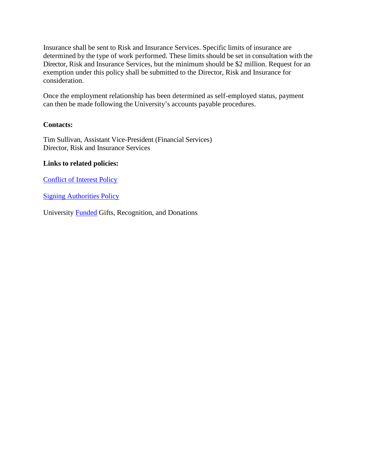Insurance shall be sent to Risk and Insurance Services. Specific limits of insurance are determined by the type of work performed. These limits should be set in consultation with the Director, Risk and Insurance Services, but the minimum should be \$2 million. Request for an exemption under this policy shall be submitted to the Director, Risk and Insurance for consideration.

Once the employment relationship has been determined as self-employed status, payment can then be made following the University's accounts payable procedures.

# **Contacts:**

Tim Sullivan, Assistant Vice-President (Financial Services) Director, Risk and Insurance Services

# **Links to related policies:**

Conflict of Interest Policy

**Signing Authorities Policy** 

University [Funded](https://carleton.ca/secretariat/wp-content/uploads/University-Funded-Gifts-Recognition-Donations.pdf) Gifts, Recognition, and Donations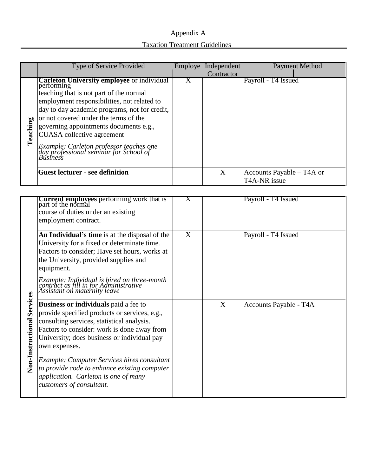# Appendix A Taxation Treatment Guidelines

|          | <b>Type of Service Provided</b>                                                                                                                                                                                                                                                                                                                                                                                                            |   | Employe Independent<br>Contractor | <b>Payment Method</b>                     |
|----------|--------------------------------------------------------------------------------------------------------------------------------------------------------------------------------------------------------------------------------------------------------------------------------------------------------------------------------------------------------------------------------------------------------------------------------------------|---|-----------------------------------|-------------------------------------------|
| Teaching | <b>Carleton University employee or individual</b><br>performing<br>teaching that is not part of the normal<br>employment responsibilities, not related to<br>day to day academic programs, not for credit,<br>or not covered under the terms of the<br>governing appointments documents e.g.,<br><b>CUASA</b> collective agreement<br>Example: Carleton professor teaches one<br>day professional seminar for School of<br><b>Business</b> | X |                                   | Payroll - T4 Issued                       |
|          | <b>Guest lecturer - see definition</b>                                                                                                                                                                                                                                                                                                                                                                                                     |   | X                                 | Accounts Payable – T4A or<br>T4A-NR issue |
|          |                                                                                                                                                                                                                                                                                                                                                                                                                                            |   |                                   |                                           |

|                            | <b>Current employees</b> performing work that is part of the normal<br>course of duties under an existing<br>employment contract.                                                                                                                                                                                                                                                                                      | $\bf{X}$ |   | Payroll - T4 Issued    |
|----------------------------|------------------------------------------------------------------------------------------------------------------------------------------------------------------------------------------------------------------------------------------------------------------------------------------------------------------------------------------------------------------------------------------------------------------------|----------|---|------------------------|
|                            | An Individual's time is at the disposal of the<br>University for a fixed or determinate time.<br>Factors to consider; Have set hours, works at<br>the University, provided supplies and<br>equipment.                                                                                                                                                                                                                  | X        |   | Payroll - T4 Issued    |
|                            | Example: Individual is hired on three-month<br>contract as fill in for Administrative<br>Assistant on maternity leave                                                                                                                                                                                                                                                                                                  |          |   |                        |
| Non-Instructional Services | Business or individuals paid a fee to<br>provide specified products or services, e.g.,<br>consulting services, statistical analysis.<br>Factors to consider: work is done away from<br>University; does business or individual pay<br>own expenses.<br>Example: Computer Services hires consultant<br>to provide code to enhance existing computer<br>application. Carleton is one of many<br>customers of consultant. |          | X | Accounts Payable - T4A |